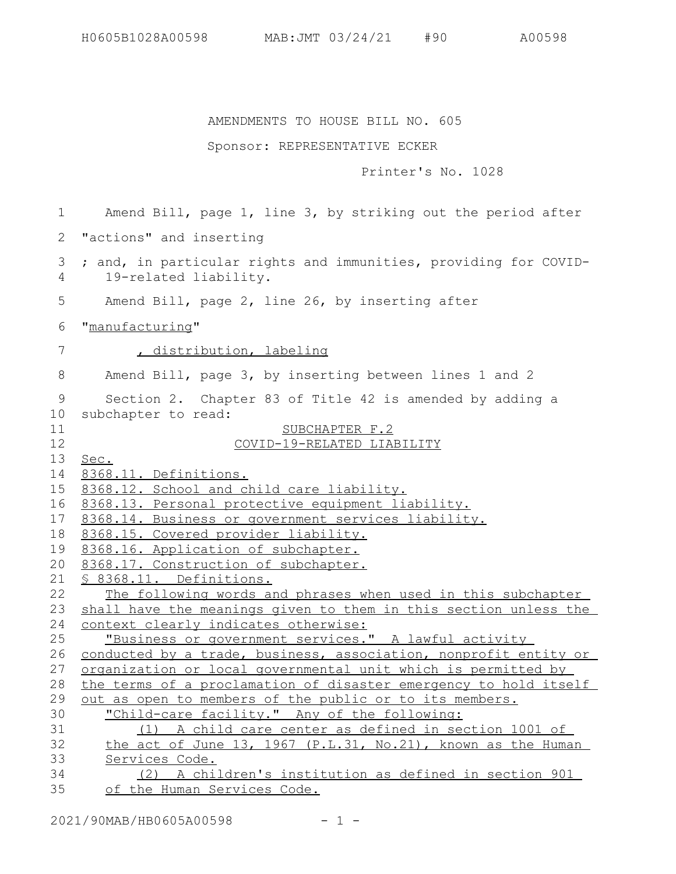## AMENDMENTS TO HOUSE BILL NO. 605

## Sponsor: REPRESENTATIVE ECKER

## Printer's No. 1028

| 1                 | Amend Bill, page 1, line 3, by striking out the period after                              |
|-------------------|-------------------------------------------------------------------------------------------|
| 2                 | "actions" and inserting                                                                   |
| 3<br>4            | ; and, in particular rights and immunities, providing for COVID-<br>19-related liability. |
| 5                 | Amend Bill, page 2, line 26, by inserting after                                           |
| 6                 | "manufacturing"                                                                           |
| 7                 | , distribution, labeling                                                                  |
| 8                 | Amend Bill, page 3, by inserting between lines 1 and 2                                    |
| $\mathsf 9$<br>10 | Section 2. Chapter 83 of Title 42 is amended by adding a<br>subchapter to read:           |
| 11                | SUBCHAPTER F.2                                                                            |
| 12                | COVID-19-RELATED LIABILITY                                                                |
| 13                | Sec.                                                                                      |
| 14                | 8368.11. Definitions.                                                                     |
| 15                | 8368.12. School and child care liability.                                                 |
| 16                | 8368.13. Personal protective equipment liability.                                         |
| 17                | 8368.14. Business or government services liability.                                       |
| 18                | 8368.15. Covered provider liability.                                                      |
| 19                | 8368.16. Application of subchapter.                                                       |
| 20                | 8368.17. Construction of subchapter.                                                      |
| 21                | § 8368.11. Definitions.                                                                   |
| 22                | The following words and phrases when used in this subchapter                              |
| 23                | shall have the meanings given to them in this section unless the                          |
| 24                | context clearly indicates otherwise:                                                      |
| 25                | "Business or government services." A lawful activity                                      |
| 26                | conducted by a trade, business, association, nonprofit entity or                          |
| 27                | organization or local governmental unit which is permitted by                             |
| 28                | the terms of a proclamation of disaster emergency to hold itself                          |
| 29                | out as open to members of the public or to its members.                                   |
| 30                | "Child-care facility." Any of the following:                                              |
| 31                | (1) A child care center as defined in section 1001 of                                     |
| 32                | the act of June 13, 1967 (P.L.31, No.21), known as the Human                              |
| 33                | Services Code.                                                                            |
| 34                | (2) A children's institution as defined in section 901                                    |
| 35                | of the Human Services Code.                                                               |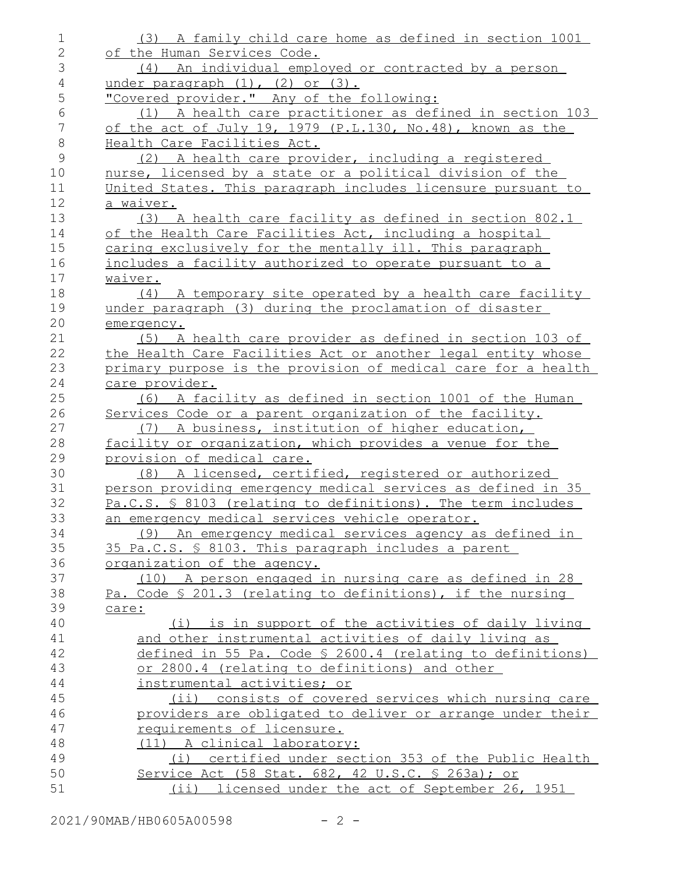| $\mathbf 1$      | (3) A family child care home as defined in section 1001                               |
|------------------|---------------------------------------------------------------------------------------|
| $\mathbf{2}$     | of the Human Services Code.                                                           |
| 3                | (4) An individual employed or contracted by a person                                  |
| $\overline{4}$   | under paragraph $(1)$ , $(2)$ or $(3)$ .                                              |
| 5                | "Covered provider." Any of the following:                                             |
| 6                | (1) A health care practitioner as defined in section 103                              |
| $\boldsymbol{7}$ | of the act of July 19, 1979 (P.L.130, No.48), known as the                            |
| $8\,$            | Health Care Facilities Act.                                                           |
| $\overline{9}$   | (2) A health care provider, including a registered                                    |
| 10               | nurse, licensed by a state or a political division of the                             |
| 11               | United States. This paragraph includes licensure pursuant to                          |
| 12               | a waiver.                                                                             |
| 13               | (3) A health care facility as defined in section 802.1                                |
| 14               | of the Health Care Facilities Act, including a hospital                               |
| 15               | caring exclusively for the mentally ill. This paragraph                               |
| 16               | includes a facility authorized to operate pursuant to a                               |
| 17               | waiver.                                                                               |
| 18               | (4) A temporary site operated by a health care facility                               |
| 19               | under paragraph (3) during the proclamation of disaster                               |
| 20               | emergency.                                                                            |
| 21               | (5) A health care provider as defined in section 103 of                               |
| 22               | the Health Care Facilities Act or another legal entity whose                          |
| 23               | primary purpose is the provision of medical care for a health                         |
| 24               | care provider.                                                                        |
| 25               | (6) A facility as defined in section 1001 of the Human                                |
| 26               | Services Code or a parent organization of the facility.                               |
| 27               | (7) A business, institution of higher education,                                      |
| 28               | facility or organization, which provides a venue for the                              |
| 29               | provision of medical care.                                                            |
| 30               | (8) A licensed, certified, registered or authorized                                   |
| 31               | person providing emergency medical services as defined in 35                          |
| 32               | Pa.C.S. § 8103 (relating to definitions). The term includes                           |
| 33               | an emergency medical services vehicle operator.                                       |
| 34               | (9) An emergency medical services agency as defined in                                |
| 35               | 35 Pa.C.S. § 8103. This paragraph includes a parent                                   |
| 36<br>37         | organization of the agency.<br>(10) A person engaged in nursing care as defined in 28 |
| 38               | Pa. Code § 201.3 (relating to definitions), if the nursing                            |
| 39               | care:                                                                                 |
| 40               | (i) is in support of the activities of daily living                                   |
| 41               | and other instrumental activities of daily living as                                  |
| 42               | defined in 55 Pa. Code § 2600.4 (relating to definitions)                             |
| 43               | or 2800.4 (relating to definitions) and other                                         |
| 44               | instrumental activities; or                                                           |
| 45               | (ii) consists of covered services which nursing care                                  |
| 46               | providers are obligated to deliver or arrange under their                             |
| 47               | requirements of licensure.                                                            |
| 48               | (11) A clinical laboratory:                                                           |
| 49               | (i) certified under section 353 of the Public Health                                  |
| 50               | <u>Service Act (58 Stat. 682, 42 U.S.C. § 263a); or</u>                               |
| 51               | (ii) licensed under the act of September 26, 1951                                     |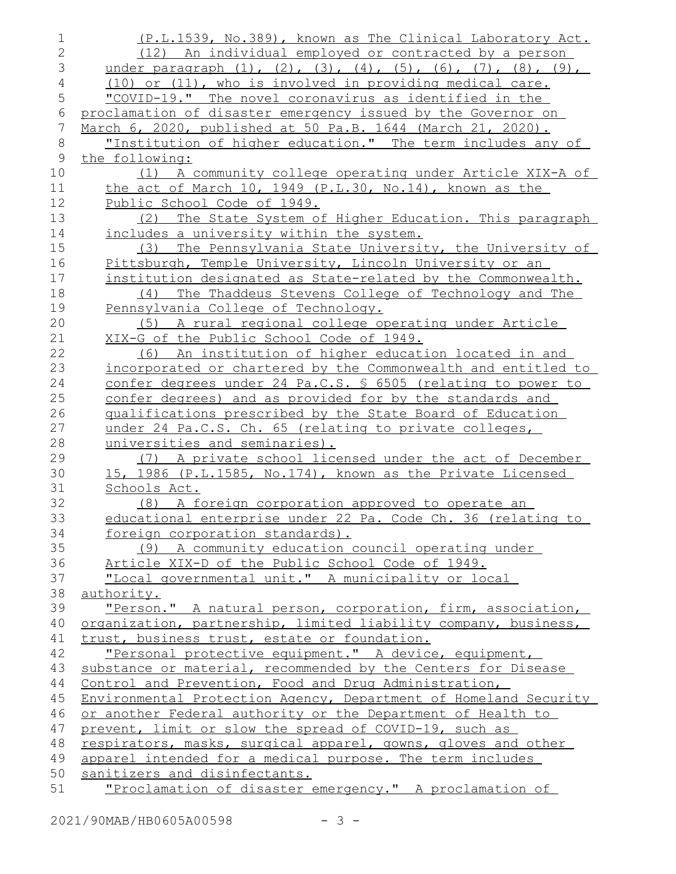| 1              | (P.L.1539, No.389), known as The Clinical Laboratory Act.                               |
|----------------|-----------------------------------------------------------------------------------------|
| $\overline{2}$ | (12) An individual employed or contracted by a person                                   |
| 3              | under paragraph $(1)$ , $(2)$ , $(3)$ , $(4)$ , $(5)$ , $(6)$ , $(7)$ , $(8)$ , $(9)$ , |
| $\overline{4}$ | (10) or (11), who is involved in providing medical care.                                |
| 5              | "COVID-19." The novel coronavirus as identified in the                                  |
| 6              | proclamation of disaster emergency issued by the Governor on                            |
| 7              | March 6, 2020, published at 50 Pa.B. 1644 (March 21, 2020).                             |
| 8              | <u>"Institution of higher education." The term includes any of</u>                      |
| $\mathsf 9$    | the following:                                                                          |
| 10             | (1) A community college operating under Article XIX-A of                                |
| 11             | the act of March 10, 1949 (P.L.30, No.14), known as the                                 |
| 12             | Public School Code of 1949.                                                             |
| 13             | The State System of Higher Education. This paragraph<br>(2)                             |
| 14             | includes a university within the system.                                                |
| 15             | The Pennsylvania State University, the University of<br>(3)                             |
| 16             | Pittsburgh, Temple University, Lincoln University or an                                 |
| 17             | institution designated as State-related by the Commonwealth.                            |
| 18             | (4) The Thaddeus Stevens College of Technology and The                                  |
| 19             | Pennsylvania College of Technology.                                                     |
| 20             | A rural regional college operating under Article<br>(5)                                 |
| 21             | XIX-G of the Public School Code of 1949.                                                |
| 22             | (6) An institution of higher education located in and                                   |
| 23             | incorporated or chartered by the Commonwealth and entitled to                           |
| 24             | confer degrees under 24 Pa.C.S. § 6505 (relating to power to                            |
| 25             | confer degrees) and as provided for by the standards and                                |
| 26             | qualifications prescribed by the State Board of Education                               |
| 27             | under 24 Pa.C.S. Ch. 65 (relating to private colleges,                                  |
| 28             | universities and seminaries).                                                           |
| 29             | (7) A private school licensed under the act of December                                 |
| 30             | 15, 1986 (P.L.1585, No.174), known as the Private Licensed                              |
| 31             | Schools Act.                                                                            |
| 32             | (8) A foreign corporation approved to operate an                                        |
| 33             | educational enterprise under 22 Pa. Code Ch. 36 (relating to                            |
| 34             | foreign corporation standards).                                                         |
| 35             | (9) A community education council operating under                                       |
| 36             | Article XIX-D of the Public School Code of 1949.                                        |
| 37             | "Local governmental unit." A municipality or local                                      |
| 38             | authority.                                                                              |
| 39             | "Person." A natural person, corporation, firm, association,                             |
| 40             | organization, partnership, limited liability company, business,                         |
| 41             | trust, business trust, estate or foundation.                                            |
| 42             | "Personal protective equipment." A device, equipment,                                   |
| 43             | substance or material, recommended by the Centers for Disease                           |
| 44             | Control and Prevention, Food and Drug Administration,                                   |
| 45             | Environmental Protection Agency, Department of Homeland Security                        |
| 46             | or another Federal authority or the Department of Health to                             |
| 47             | prevent, limit or slow the spread of COVID-19, such as                                  |
| 48             | respirators, masks, surgical apparel, gowns, gloves and other                           |
| 49             | apparel intended for a medical purpose. The term includes                               |
| 50             | sanitizers and disinfectants.                                                           |
| 51             | "Proclamation of disaster emergency." A proclamation of                                 |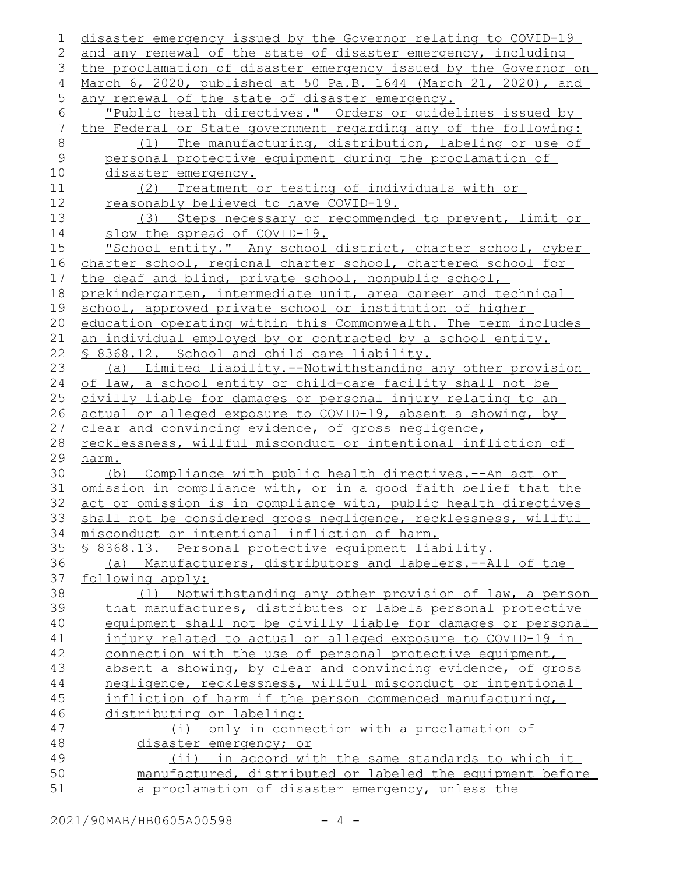| 1           | disaster emergency issued by the Governor relating to COVID-19   |
|-------------|------------------------------------------------------------------|
| 2           | and any renewal of the state of disaster emergency, including    |
| 3           | the proclamation of disaster emergency issued by the Governor on |
| 4           | March 6, 2020, published at 50 Pa.B. 1644 (March 21, 2020), and  |
| 5           | any renewal of the state of disaster emergency.                  |
| 6           | "Public health directives." Orders or guidelines issued by       |
| 7           | the Federal or State government regarding any of the following:  |
| $\,8\,$     | (1) The manufacturing, distribution, labeling or use of          |
| $\mathsf 9$ | personal protective equipment during the proclamation of         |
| 10          | disaster emergency.                                              |
| 11          | (2) Treatment or testing of individuals with or                  |
| 12          | reasonably believed to have COVID-19.                            |
| 13          | Steps necessary or recommended to prevent, limit or<br>(3)       |
| 14          | slow the spread of COVID-19.                                     |
| 15          | "School entity." Any school district, charter school, cyber      |
| 16          | charter school, regional charter school, chartered school for    |
| 17          | the deaf and blind, private school, nonpublic school,            |
| 18          | prekindergarten, intermediate unit, area career and technical    |
| 19          | school, approved private school or institution of higher         |
| 20          | education operating within this Commonwealth. The term includes  |
| 21          | an individual employed by or contracted by a school entity.      |
| 22          | § 8368.12. School and child care liability.                      |
| 23          | (a) Limited liability.--Notwithstanding any other provision      |
| 24          | of law, a school entity or child-care facility shall not be      |
| 25          | civilly liable for damages or personal injury relating to an     |
| 26          | actual or alleged exposure to COVID-19, absent a showing, by     |
| 27          | clear and convincing evidence, of gross negligence,              |
| 28          | recklessness, willful misconduct or intentional infliction of    |
| 29          | harm.                                                            |
| 30          | (b) Compliance with public health directives.--An act or         |
| 31          | omission in compliance with, or in a good faith belief that the  |
| 32          | act or omission is in compliance with, public health directives  |
| 33          | shall not be considered gross negligence, recklessness, willful  |
| 34          | misconduct or intentional infliction of harm.                    |
| 35          | \$ 8368.13. Personal protective equipment liability.             |
| 36          | (a) Manufacturers, distributors and labelers.--All of the        |
| 37          | following apply:                                                 |
| 38          | (1) Notwithstanding any other provision of law, a person         |
| 39          | that manufactures, distributes or labels personal protective     |
| 40          | equipment shall not be civilly liable for damages or personal    |
| 41          | injury related to actual or alleged exposure to COVID-19 in      |
| 42          | connection with the use of personal protective equipment,        |
| 43          | absent a showing, by clear and convincing evidence, of gross     |
| 44          | negligence, recklessness, willful misconduct or intentional      |
| 45          | infliction of harm if the person commenced manufacturing,        |
| 46          | distributing or labeling:                                        |
| 47          | (i) only in connection with a proclamation of                    |
| 48          | disaster emergency; or                                           |
| 49          | (ii) in accord with the same standards to which it               |
| 50          | manufactured, distributed or labeled the equipment before        |
| 51          | a proclamation of disaster emergency, unless the                 |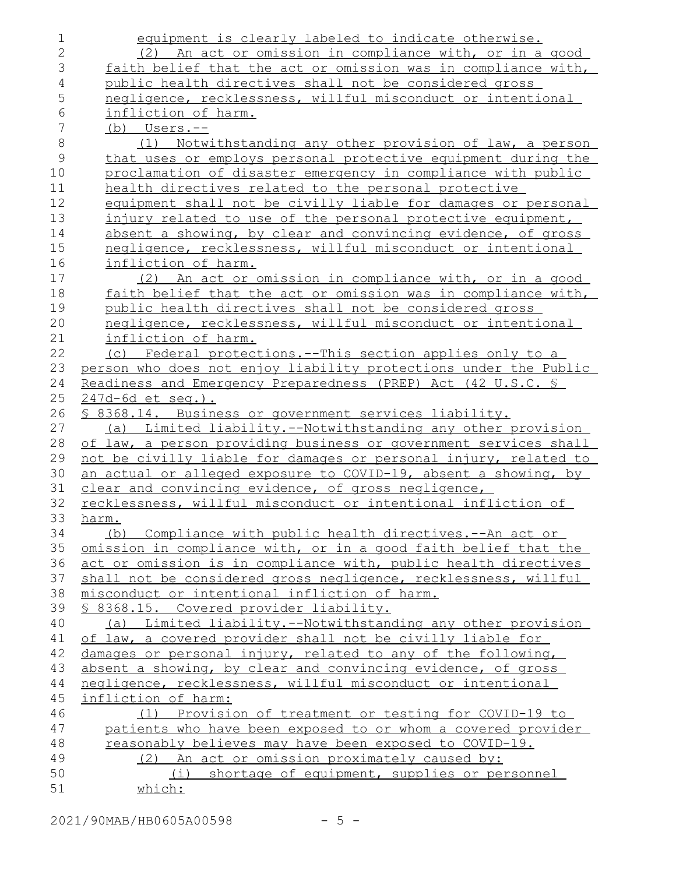| $\mathbf 1$    | equipment is clearly labeled to indicate otherwise.                                                                                |
|----------------|------------------------------------------------------------------------------------------------------------------------------------|
| $\overline{2}$ | An act or omission in compliance with, or in a good<br>(2)                                                                         |
| 3              | faith belief that the act or omission was in compliance with,                                                                      |
| $\overline{4}$ | public health directives shall not be considered gross                                                                             |
| 5              | negligence, recklessness, willful misconduct or intentional                                                                        |
| 6              | infliction of harm.                                                                                                                |
| 7              | $(b)$ Users.--                                                                                                                     |
| $\,8\,$        | (1) Notwithstanding any other provision of law, a person                                                                           |
| $\mathcal{G}$  | that uses or employs personal protective equipment during the                                                                      |
| 10             | proclamation of disaster emergency in compliance with public                                                                       |
| 11             | health directives related to the personal protective                                                                               |
| 12             | equipment shall not be civilly liable for damages or personal                                                                      |
| 13             | injury related to use of the personal protective equipment,                                                                        |
| 14             | absent a showing, by clear and convincing evidence, of gross                                                                       |
| 15             | negligence, recklessness, willful misconduct or intentional                                                                        |
| 16             | infliction of harm.                                                                                                                |
| 17             | (2) An act or omission in compliance with, or in a good                                                                            |
| 18             | faith belief that the act or omission was in compliance with,                                                                      |
| 19             | public health directives shall not be considered gross                                                                             |
| 20             | negligence, recklessness, willful misconduct or intentional                                                                        |
| 21             | infliction of harm.                                                                                                                |
| 22             | (c) Federal protections.--This section applies only to a                                                                           |
| 23             | person who does not enjoy liability protections under the Public                                                                   |
| 24             | Readiness and Emergency Preparedness (PREP) Act (42 U.S.C. §                                                                       |
| 25             | 247d-6d et seq.).                                                                                                                  |
| 26             | § 8368.14. Business or government services liability.                                                                              |
| 27             | (a) Limited liability.--Notwithstanding any other provision                                                                        |
| 28             | of law, a person providing business or government services shall                                                                   |
| 29             | not be civilly liable for damages or personal injury, related to                                                                   |
| 30             | an actual or alleged exposure to COVID-19, absent a showing, by                                                                    |
| 31             | clear and convincing evidence, of gross negligence,                                                                                |
| 32             | recklessness, willful misconduct or intentional infliction of                                                                      |
| 33             | harm.                                                                                                                              |
| 34             | (b) Compliance with public health directives.--An act or                                                                           |
| 35             | omission in compliance with, or in a good faith belief that the                                                                    |
| 36             | act or omission is in compliance with, public health directives<br>shall not be considered gross negligence, recklessness, willful |
| 37<br>38       |                                                                                                                                    |
| 39             | misconduct or intentional infliction of harm.<br>§ 8368.15. Covered provider liability.                                            |
| 40             | (a) Limited liability.--Notwithstanding any other provision                                                                        |
| 41             | of law, a covered provider shall not be civilly liable for                                                                         |
| 42             | damages or personal injury, related to any of the following,                                                                       |
| 43             | absent a showing, by clear and convincing evidence, of gross                                                                       |
| 44             | negligence, recklessness, willful misconduct or intentional                                                                        |
| 45             | infliction of harm:                                                                                                                |
| 46             | (1) Provision of treatment or testing for COVID-19 to                                                                              |
| 47             | patients who have been exposed to or whom a covered provider                                                                       |
| 48             | reasonably believes may have been exposed to COVID-19.                                                                             |
| 49             | (2) An act or omission proximately caused by:                                                                                      |
| 50             | shortage of equipment, supplies or personnel<br>(i)                                                                                |
| 51             | which:                                                                                                                             |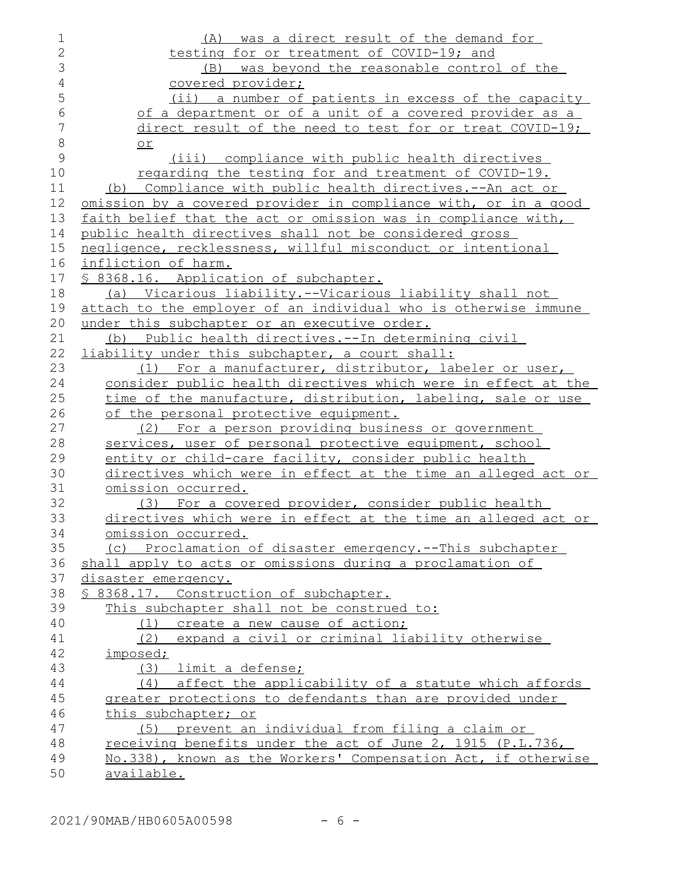| $\mathbf 1$  | (A) was a direct result of the demand for                                   |
|--------------|-----------------------------------------------------------------------------|
| $\mathbf{2}$ | testing for or treatment of COVID-19; and                                   |
| 3            | (B) was beyond the reasonable control of the                                |
| $\sqrt{4}$   | covered provider;                                                           |
| 5            | (ii) a number of patients in excess of the capacity                         |
| 6            | of a department or of a unit of a covered provider as a                     |
| 7            | direct result of the need to test for or treat COVID-19;                    |
| 8            | $or$                                                                        |
| 9            | (iii) compliance with public health directives                              |
| 10           | regarding the testing for and treatment of COVID-19.                        |
| 11           | (b) Compliance with public health directives.--An act or                    |
| 12           | <u>omission by a covered provider in compliance with, or in a good</u>      |
| 13           | faith belief that the act or omission was in compliance with,               |
| 14           | public health directives shall not be considered gross                      |
| 15           | negligence, recklessness, willful misconduct or intentional                 |
| 16           | infliction of harm.                                                         |
| 17           | § 8368.16. Application of subchapter.                                       |
| 18           | (a) Vicarious liability.--Vicarious liability shall not                     |
| 19           | attach to the employer of an individual who is otherwise immune             |
| 20           | under this subchapter or an executive order.                                |
| 21           | (b) Public health directives.--In determining civil                         |
| 22           | liability under this subchapter, a court shall:                             |
| 23           | (1) For a manufacturer, distributor, labeler or user,                       |
| 24           | consider public health directives which were in effect at the               |
| 25           | time of the manufacture, distribution, labeling, sale or use                |
| 26           | of the personal protective equipment.                                       |
| 27           | For a person providing business or government<br>(2)                        |
| 28           | services, user of personal protective equipment, school                     |
| 29           | entity or child-care facility, consider public health                       |
| 30           | directives which were in effect at the time an alleged act or               |
| 31           | omission occurred.                                                          |
| 32           | (3) For a covered provider, consider public health                          |
| 33           | directives which were in effect at the time an alleged act or               |
| 34           | omission occurred.                                                          |
| 35           | (c) Proclamation of disaster emergency.--This subchapter                    |
| 36           | shall apply to acts or omissions during a proclamation of                   |
| 37           | disaster emergency.                                                         |
| 38           | § 8368.17. Construction of subchapter.                                      |
| 39           | This subchapter shall not be construed to:                                  |
| 40           | (1) create a new cause of action;                                           |
| 41           | expand a civil or criminal liability otherwise<br>(2)                       |
| 42           | imposed;                                                                    |
| 43           | (3) limit a defense;                                                        |
| 44           | (4) affect the applicability of a statute which affords                     |
|              |                                                                             |
| 45           | greater protections to defendants than are provided under                   |
| 46           | this subchapter; or                                                         |
| 47           | (5) prevent an individual from filing a claim or                            |
| 48           | receiving benefits under the act of June 2, 1915 (P.L.736,                  |
| 49<br>50     | No.338), known as the Workers' Compensation Act, if otherwise<br>available. |